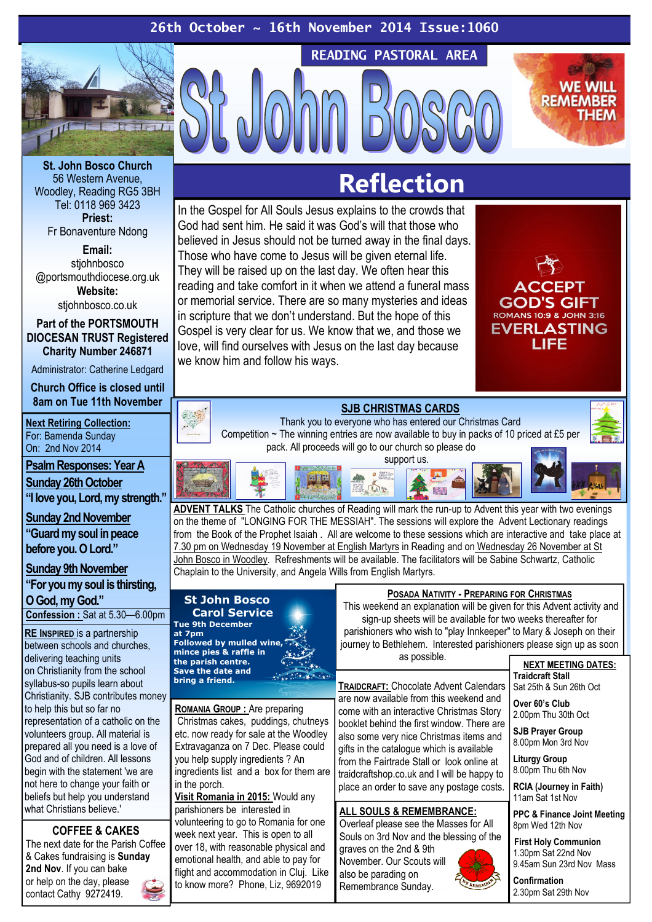

St. John Bosco Church 56 Western Avenue, Woodley, Reading RG5 3BH Tel: 0118 969 3423 Priest: Fr Bonaventure Ndong

Email: stiohnbosco @portsmouthdiocese.org.uk Website: stjohnbosco.co.uk

Part of the PORTSMOUTH

DIOCESAN TRUST Registered Charity Number 246871

Administrator: Catherine Ledgard

Church Office is closed until 8am on Tue 11th November

**Next Retiring Collection:** For: Bamenda Sunday On: 2nd Nov 2014 Psalm Responses: Year A

Sunday 26th October "I love you, Lord, my strength."

Sunday 2nd November "Guard my soul in peace before you. O Lord."

Sunday 9th November

"For you my soul is thirsting,

O God, my God."

Confession : Sat at 5.30—6.00pm

RE INSPIRED is a partnership between schools and churches, delivering teaching units on Christianity from the school syllabus-so pupils learn about Christianity. SJB contributes money to help this but so far no representation of a catholic on the volunteers group. All material is prepared all you need is a love of God and of children. All lessons begin with the statement 'we are not here to change your faith or beliefs but help you understand what Christians believe.'

COFFEE & CAKES The next date for the Parish Coffee & Cakes fundraising is Sunday 2nd Nov. If you can bake or help on the day, please contact Cathy 9272419.

# Reflection

READING PASTORAL AREA

In the Gospel for All Souls Jesus explains to the crowds that God had sent him. He said it was God's will that those who believed in Jesus should not be turned away in the final days. Those who have come to Jesus will be given eternal life. They will be raised up on the last day. We often hear this reading and take comfort in it when we attend a funeral mass or memorial service. There are so many mysteries and ideas in scripture that we don't understand. But the hope of this Gospel is very clear for us. We know that we, and those we love, will find ourselves with Jesus on the last day because we know him and follow his ways.



**ACCEPT GOD'S GIFT** ROMANS 10:9 & JOHN 3:16 **EVERLASTING LIFF** 

**WE WILL REMEMBE** 

Thank you to everyone who has entered our Christmas Card Competition ~ The winning entries are now available to buy in packs of 10 priced at £5 per pack. All proceeds will go to our church so please do

SJB CHRISTMAS CARDS



**ADVENT TALKS** The Catholic churches of Reading will mark the run-up to Advent this year with two evenings on the theme of "LONGING FOR THE MESSIAH". The sessions will explore the Advent Lectionary readings from the Book of the Prophet Isaiah . All are welcome to these sessions which are interactive and take place at 7.30 pm on Wednesday 19 November at English Martyrs in Reading and on Wednesday 26 November at St John Bosco in Woodley. Refreshments will be available. The facilitators will be Sabine Schwartz, Catholic Chaplain to the University, and Angela Wills from English Martyrs.

## St John Bosco Carol Service

Tue 9th December at 7pm Followed by mulled wine, mince pies & raffle in the parish centre. Save the date and bring a friend.

ROMANIA GROUP : Are preparing Christmas cakes, puddings, chutneys etc. now ready for sale at the Woodley Extravaganza on 7 Dec. Please could you help supply ingredients ? An ingredients list and a box for them are in the porch.

Visit Romania in 2015: Would any parishioners be interested in volunteering to go to Romania for one week next year. This is open to all over 18, with reasonable physical and emotional health, and able to pay for flight and accommodation in Cluj. Like to know more? Phone, Liz, 9692019

## POSADA NATIVITY - PREPARING FOR CHRISTMAS

 This weekend an explanation will be given for this Advent activity and sign-up sheets will be available for two weeks thereafter for parishioners who wish to "play Innkeeper" to Mary & Joseph on their journey to Bethlehem. Interested parishioners please sign up as soon as possible.

TRAIDCRAFT: Chocolate Advent Calendars are now available from this weekend and come with an interactive Christmas Story booklet behind the first window. There are also some very nice Christmas items and gifts in the catalogue which is available from the Fairtrade Stall or look online at traidcraftshop.co.uk and I will be happy to place an order to save any postage costs.

## ALL SOULS & REMEMBRANCE:

Overleaf please see the Masses for All Souls on 3rd Nov and the blessing of the graves on the 2nd & 9th November. Our Scouts will also be parading on Remembrance Sunday.

#### NEXT MEETING DATES: Traidcraft Stall Sat 25th & Sun 26th Oct

Over 60's Club 2.00pm Thu 30th Oct

SJB Prayer Group 8.00pm Mon 3rd Nov

Liturgy Group 8.00pm Thu 6th Nov

RCIA (Journey in Faith) 11am Sat 1st Nov

PPC & Finance Joint Meeting 8pm Wed 12th Nov

First Holy Communion 1.30pm Sat 22nd Nov 9.45am Sun 23rd Nov Mass

Confirmation 2.30pm Sat 29th Nov